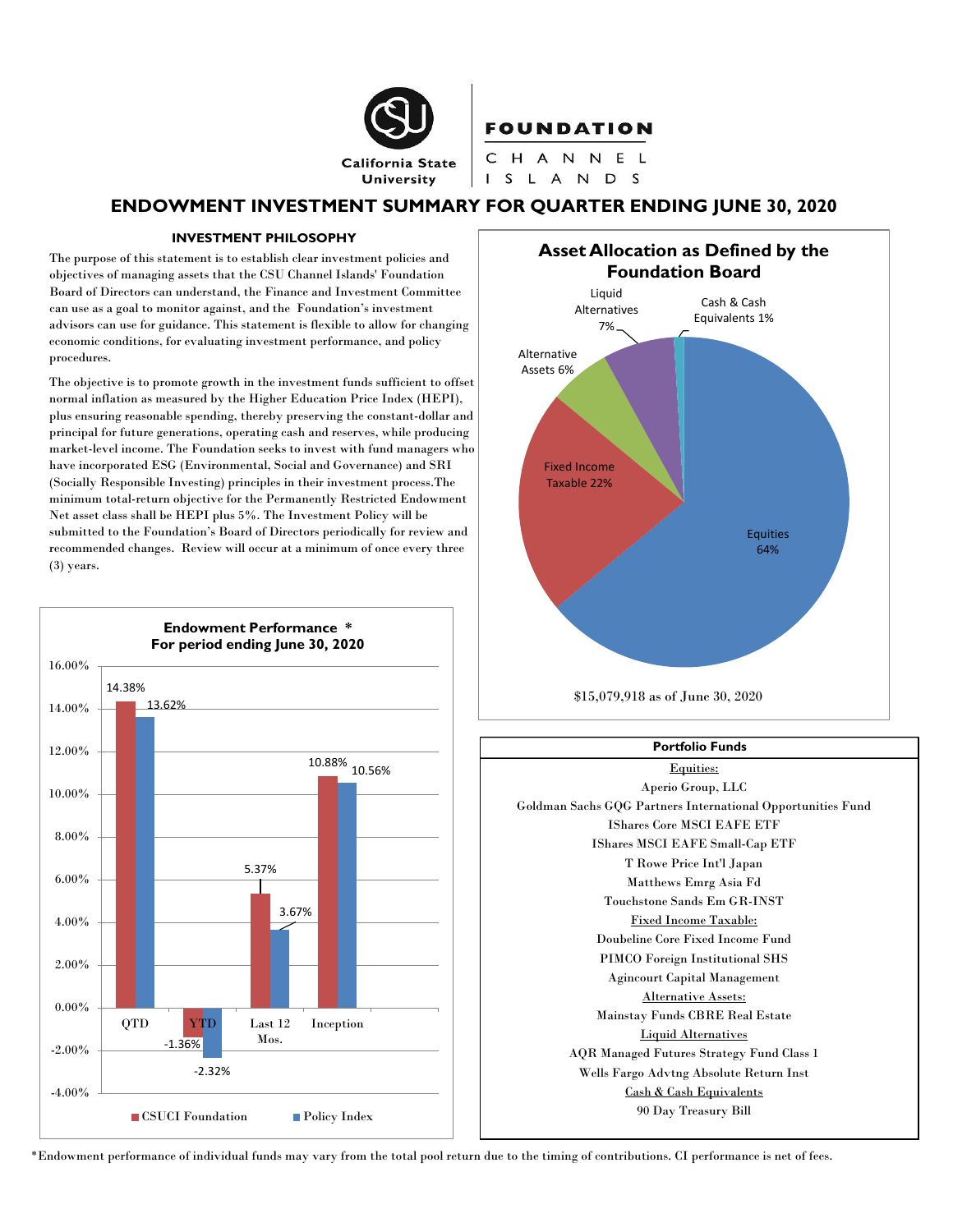

## **FOUNDATION**

CHANNEL I S L A N D S

# ENDOWMENT INVESTMENT SUMMARY FOR QUARTER ENDING JUNE 30, 2020

#### INVESTMENT PHILOSOPHY

 The purpose of this statement is to establish clear investment policies and objectives of managing assets that the CSU Channel Islands' Foundation Board of Directors can understand, the Finance and Investment Committee can use as a goal to monitor against, and the Foundation's investment advisors can use for guidance. This statement is flexible to allow for changing economic conditions, for evaluating investment performance, and policy procedures.

 The objective is to promote growth in the investment funds sufficient to offset normal inflation as measured by the Higher Education Price Index (HEPI), plus ensuring reasonable spending, thereby preserving the constant-dollar and principal for future generations, operating cash and reserves, while producing market-level income. The Foundation seeks to invest with fund managers who have incorporated ESG (Environmental, Social and Governance) and SRI (Socially Responsible Investing) principles in their investment process.The minimum total-return objective for the Permanently Restricted Endowment Net asset class shall be HEPI plus 5%. The Investment Policy will be submitted to the Foundation's Board of Directors periodically for review and recommended changes. Review will occur at a minimum of once every three (3) years.









\*Endowment performance of individual funds may vary from the total pool return due to the timing of contributions. CI performance is net of fees.